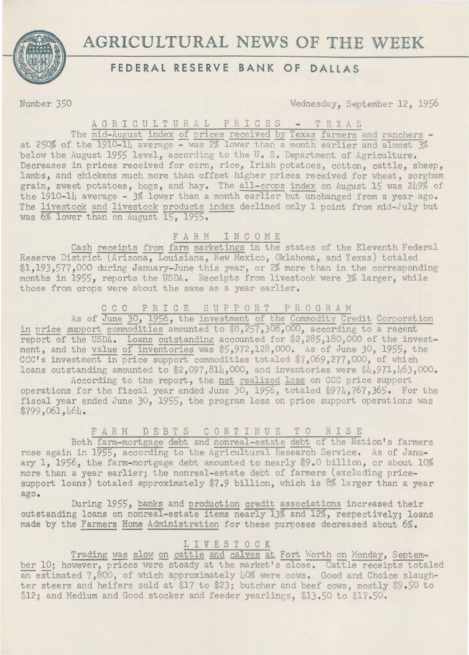

# **AGRICULTURAL NEWS OF THE WEEK**

## **FEDERAL RESERVE BANK OF DALLAS**

Number 350 Wednesday, September 12, 1956

### A G R I C U L T U R A L P R I C E S - T E X A S

The mid-August index of prices received by Texas farmers and ranchers at 250% of the 1910-14 average - was 2% lower than a month earlier and almost 3% below the August 1955 level, according to the U.S. Department of Agriculture. Decreases in prices received for corn, rice, Irish potatoes, cotton, cattle, sheep, lambs, and chickens much more than offset higher prices received for wheat, sorghum grain, sweet potatoes, hogs, and hay. The all-crops index on August 15 was 249% of the 1910-14 average - 3% lower than a month earlier but unchanged from a year ago. The livestock and livestock products index declined only 1 point from mid-July but was  $\frac{6\%}{60}$  lower than on August 15, 1955.

### F A R M I N C 0 M E

Cash receipts from farm marketings in the states of the Eleventh Federal Reserve District (Arizona, Louisiana, New Mexico, Oklahoma, and Texas) totaled \$1,193,577,000 during January-June this year, or 2% more than in the corresponding months in 1955, reports the USDA. Receipts from livestock were 3% larger, while those from crops were about the same as a year earlier.

#### C C C P R I C E S U P P 0 R T P R 0 G R A M

As of June 30, 1956, the investment of the Commodity Credit Corporation in price support commodities amounted to \$8,257,308,000, according to a recent report of the USDA. Loans outstanding accounted for  $2,285,180,000$  of the investment, and the value of inventories was \$5,972,128,000. As of June 30, 1955, the CCC's investment in price support commodities totaled \$7,069,277,000, of which loans outstanding amounted to  $$2,097,814,000$ , and inventories were  $$4,971,163,000$ .

According to the report, the net realized loss on CCC price support operations for the fiscal year ended June  $30$ ,  $1956$ , totaled \$974,767,365. For the fiscal year ended June JO, 1955, the program loss on price support operations was \$799,061,464.

## FARM DEBT S CONTINUE TO R IS E

Both farm-mortgage debt and nonreal-estate debt of the Nation's farmers rose again in 1955, according to the Agricultural Research Service. As of January 1, 1956, the farm-mortgage debt amounted to nearly \$9 .0 billion, or about 10% more than a year earlier; the nonreal-estate debt of farmers (excluding pricesupport loans) totaled approximately \$7.9 billion, which is 8% larger than a year ago.

During 1955, banks and production credit associations increased their outstanding loans on nonreal-estate items nearly 13% and 12%, respectively; loans made by the Farmers Home Administration for these purposes decreased about 6%.

### L I V E S T 0 C K

Trading was slow on cattle and calves at Fort Worth on Monday, September 10; however, prices were steady at the market's close. Cattle receipts totaled an estimated 7,800, of which approximately LO% were cows. Good and Choice slaughter steers and heifers sold at \$17 to \$23; butcher and beef cows, mostly \$9.50 to \$12; and Medium and Good stocker and feeder yearlings, \$13.50 to \$17.50.